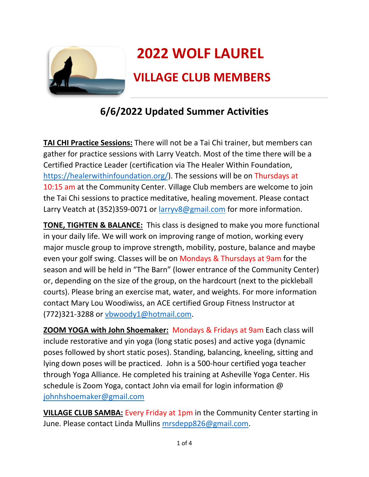

## **6/6/2022 Updated Summer Activities**

**TAI CHI Practice Sessions:** There will not be a Tai Chi trainer, but members can gather for practice sessions with Larry Veatch. Most of the time there will be a Certified Practice Leader (certification via The Healer Within Foundation, https://healerwithinfoundation.org/). The sessions will be on Thursdays at 10:15 am at the Community Center. Village Club members are welcome to join the Tai Chi sessions to practice meditative, healing movement. Please contact Larry Veatch at (352)359-0071 or larryv8@gmail.com for more information.

**TONE, TIGHTEN & BALANCE:** This class is designed to make you more functional in your daily life. We will work on improving range of motion, working every major muscle group to improve strength, mobility, posture, balance and maybe even your golf swing. Classes will be on Mondays & Thursdays at 9am for the season and will be held in "The Barn" (lower entrance of the Community Center) or, depending on the size of the group, on the hardcourt (next to the pickleball courts). Please bring an exercise mat, water, and weights. For more information contact Mary Lou Woodiwiss, an ACE certified Group Fitness Instructor at (772)321-3288 or vbwoody1@hotmail.com.

**ZOOM YOGA with John Shoemaker:** Mondays & Fridays at 9am Each class will include restorative and yin yoga (long static poses) and active yoga (dynamic poses followed by short static poses). Standing, balancing, kneeling, sitting and lying down poses will be practiced. John is a 500-hour certified yoga teacher through Yoga Alliance. He completed his training at Asheville Yoga Center. His schedule is Zoom Yoga, contact John via email for login information @ johnhshoemaker@gmail.com

**VILLAGE CLUB SAMBA:** Every Friday at 1pm in the Community Center starting in June. Please contact Linda Mullins mrsdepp826@gmail.com.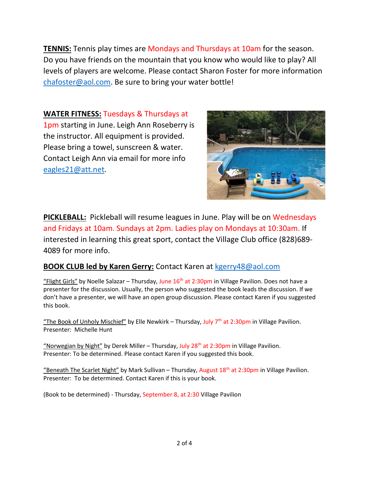**TENNIS:** Tennis play times are Mondays and Thursdays at 10am for the season. Do you have friends on the mountain that you know who would like to play? All levels of players are welcome. Please contact Sharon Foster for more information chafoster@aol.com. Be sure to bring your water bottle!

**WATER FITNESS:** Tuesdays & Thursdays at

1pm starting in June. Leigh Ann Roseberry is the instructor. All equipment is provided. Please bring a towel, sunscreen & water. Contact Leigh Ann via email for more info eagles21@att.net.



**PICKLEBALL:** Pickleball will resume leagues in June. Play will be on Wednesdays and Fridays at 10am. Sundays at 2pm. Ladies play on Mondays at 10:30am. If interested in learning this great sport, contact the Village Club office (828)689- 4089 for more info.

## **BOOK CLUB led by Karen Gerry:** Contact Karen at kgerry48@aol.com

"Flight Girls" by Noelle Salazar – Thursday, June  $16<sup>th</sup>$  at 2:30pm in Village Pavilion. Does not have a presenter for the discussion. Usually, the person who suggested the book leads the discussion. If we don't have a presenter, we will have an open group discussion. Please contact Karen if you suggested this book.

"The Book of Unholy Mischief" by Elle Newkirk – Thursday, July  $7<sup>th</sup>$  at 2:30pm in Village Pavilion. Presenter: Michelle Hunt

"Norwegian by Night" by Derek Miller – Thursday, July 28<sup>th</sup> at 2:30pm in Village Pavilion. Presenter: To be determined. Please contact Karen if you suggested this book.

"Beneath The Scarlet Night" by Mark Sullivan – Thursday, August  $18<sup>th</sup>$  at 2:30pm in Village Pavilion. Presenter: To be determined. Contact Karen if this is your book.

(Book to be determined) - Thursday, September 8, at 2:30 Village Pavilion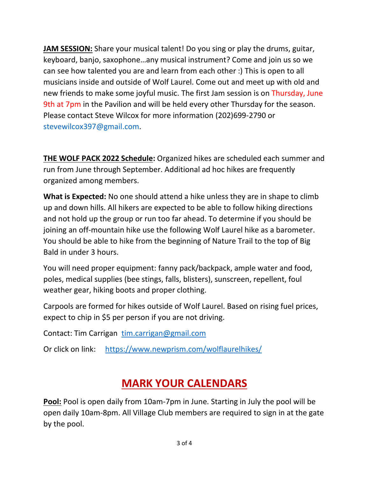**JAM SESSION:** Share your musical talent! Do you sing or play the drums, guitar, keyboard, banjo, saxophone…any musical instrument? Come and join us so we can see how talented you are and learn from each other :) This is open to all musicians inside and outside of Wolf Laurel. Come out and meet up with old and new friends to make some joyful music. The first Jam session is on Thursday, June 9th at 7pm in the Pavilion and will be held every other Thursday for the season. Please contact Steve Wilcox for more information (202)699-2790 or stevewilcox397@gmail.com.

**THE WOLF PACK 2022 Schedule:** Organized hikes are scheduled each summer and run from June through September. Additional ad hoc hikes are frequently organized among members.

**What is Expected:** No one should attend a hike unless they are in shape to climb up and down hills. All hikers are expected to be able to follow hiking directions and not hold up the group or run too far ahead. To determine if you should be joining an off-mountain hike use the following Wolf Laurel hike as a barometer. You should be able to hike from the beginning of Nature Trail to the top of Big Bald in under 3 hours.

You will need proper equipment: fanny pack/backpack, ample water and food, poles, medical supplies (bee stings, falls, blisters), sunscreen, repellent, foul weather gear, hiking boots and proper clothing.

Carpools are formed for hikes outside of Wolf Laurel. Based on rising fuel prices, expect to chip in \$5 per person if you are not driving.

Contact: Tim Carrigan tim.carrigan@gmail.com

Or click on link: https://www.newprism.com/wolflaurelhikes/

## **MARK YOUR CALENDARS**

**Pool:** Pool is open daily from 10am-7pm in June. Starting in July the pool will be open daily 10am-8pm. All Village Club members are required to sign in at the gate by the pool.